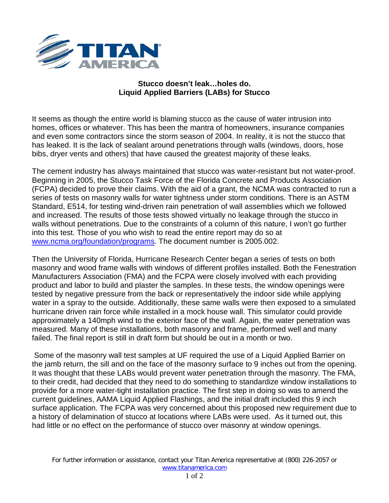

## **Stucco doesn't leak…holes do. Liquid Applied Barriers (LABs) for Stucco**

It seems as though the entire world is blaming stucco as the cause of water intrusion into homes, offices or whatever. This has been the mantra of homeowners, insurance companies and even some contractors since the storm season of 2004. In reality, it is not the stucco that has leaked. It is the lack of sealant around penetrations through walls (windows, doors, hose bibs, dryer vents and others) that have caused the greatest majority of these leaks.

The cement industry has always maintained that stucco was water-resistant but not water-proof. Beginning in 2005, the Stucco Task Force of the Florida Concrete and Products Association (FCPA) decided to prove their claims. With the aid of a grant, the NCMA was contracted to run a series of tests on masonry walls for water tightness under storm conditions. There is an ASTM Standard, E514, for testing wind-driven rain penetration of wall assemblies which we followed and increased. The results of those tests showed virtually no leakage through the stucco in walls without penetrations. Due to the constraints of a column of this nature, I won't go further into this test. Those of you who wish to read the entire report may do so at [www.ncma.org/foundation/programs.](http://www.ncma.org/foundation/programs) The document number is 2005.002.

Then the University of Florida, Hurricane Research Center began a series of tests on both masonry and wood frame walls with windows of different profiles installed. Both the Fenestration Manufacturers Association (FMA) and the FCPA were closely involved with each providing product and labor to build and plaster the samples. In these tests, the window openings were tested by negative pressure from the back or representatively the indoor side while applying water in a spray to the outside. Additionally, these same walls were then exposed to a simulated hurricane driven rain force while installed in a mock house wall. This simulator could provide approximately a 140mph wind to the exterior face of the wall. Again, the water penetration was measured. Many of these installations, both masonry and frame, performed well and many failed. The final report is still in draft form but should be out in a month or two.

Some of the masonry wall test samples at UF required the use of a Liquid Applied Barrier on the jamb return, the sill and on the face of the masonry surface to 9 inches out from the opening. It was thought that these LABs would prevent water penetration through the masonry. The FMA, to their credit, had decided that they need to do something to standardize window installations to provide for a more water-tight installation practice. The first step in doing so was to amend the current guidelines, AAMA Liquid Applied Flashings, and the initial draft included this 9 inch surface application. The FCPA was very concerned about this proposed new requirement due to a history of delamination of stucco at locations where LABs were used. As it turned out, this had little or no effect on the performance of stucco over masonry at window openings.